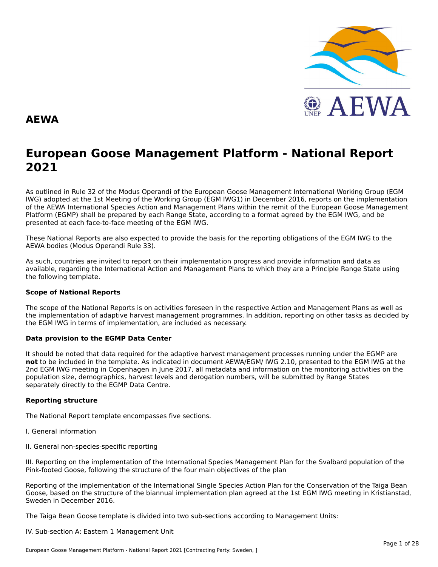

#### **AEWA**

## **European Goose Management Platform - National Report**European Goose Management Platform - National Report<br>2021

As outlined in Rule 32 of the Modus Operandi of the European Goose Management International Working Group (EGM As buthled in Rule 32 of the Modus Operandi of the Lufopean Goose Management International Working Group (LGM<br>IWG) adopted at the 1st Meeting of the Working Group (EGM IWG1) in December 2016, reports on the implementation of the AEWA International Species Action and Management Plans within the remit of the European Goose Management<br>of the AEWA International Species Action and Management Plans within the remit of the European Goose Managemen Platform (EGMP) shall be prepared by each Range State, according to a format agreed by the EGM IWG, and be presented at each face-to-face meeting of the EGM IWG.

These National Reports are also expected to provide the basis for the reporting obligations of the EGM IWG to the AEWA bodies (Modus Operandi Rule 33).

As such, countries are invited to report on their implementation progress and provide information and data asAs such, countries are invited to report on their implementation progress and provide imomiation and data as<br>available, regarding the International Action and Management Plans to which they are a Principle Range State usin avanable, regarding the<br>the following template.

#### **Scope of National Reports**

The scope of the National Reports is on activities foreseen in the respective Action and Management Plans as well as<br>the invalencentation of adoptive harvest management are respective to addition association on other to th the implementation of adaptive harvest management programmes. In addition, reporting on other tasks as decided by the implementation of adaptive harvest management programmes. I<br>the EGM IWG in terms of implementation, are included as necessary.

#### **Data provision to the EGMP Data Center**

It should be noted that data required for the adaptive harvest management processes running under the EGMP are not to be included in the template. As indicated in document AEWA/EGM/ IWG 2.10, presented to the EGM IWG at the 2nd EGM IWG meeting in Copenhagen in June 2017, all metadata and information on the monitoring activities on the population size, demographics, harvest levels and derogation numbers, will be submitted by Range States separately directly to the EGMP Data Centre.

#### **Reporting structure**

The National Report template encompasses five sections.

- I. General information
- II. General non-species-specific reporting

III. Reporting on the implementation of the International Species Management Plan for the Svalbard population of the In. Reporting on the implementation of the international species management Fra<br>Pink-footed Goose, following the structure of the four main objectives of the plan

Reporting of the implementation of the International Single Species Action Plan for the Conservation of the Taiga Bean Goose, based on the structure of the biannual implementation plan agreed at the 1st EGM IWG meeting in Kristianstad, Sweden in December 2016.

The Taiga Bean Goose template is divided into two sub-sections according to Management Units:

IV. Sub-section A: Eastern 1 Management Unit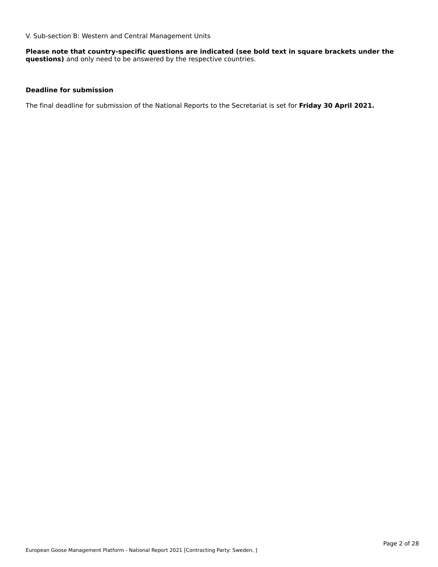V. Sub-section B: Western and Central Management Units

**Please note that country-specific questions are indicated (see bold text in square brackets under the questions)** and only need to be answered by the respective countries.

#### **Deadline for submission**

The final deadline for submission of the National Reports to the Secretariat is set for **Friday 30 April 2021.**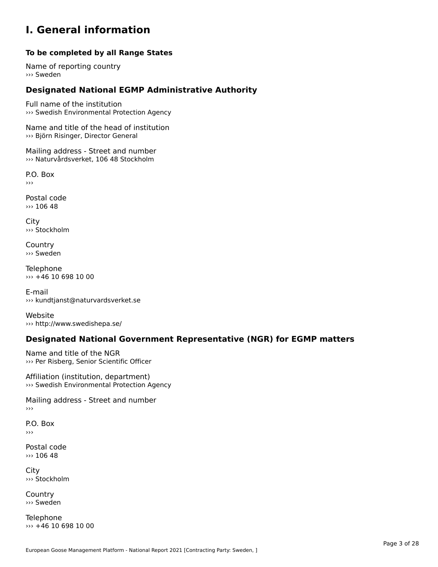#### **I. General information**

#### **To be completed by all Range States**

Name of reporting country››› Sweden

### **Designated National EGMP Administrative Authority**

Full name of the institution ››› Swedish Environmental Protection Agency

Name and title of the head of institution »» Björn Risinger, Director General

Mailing address - Street and number ››› Naturvårdsverket, 106 48 Stockholm

P.O. Box›››

Postal code ››› 106 48

City ››› Stockholm

**Country** ››› Sweden

Telephone  $\rightarrow$  +46 10 698 10 00

E-mail››› kundtjanst@naturvardsverket.se

Website››› http://www.swedishepa.se/

### **Designated National Government Representative (NGR) for EGMP matters**

Name and title of the NGR ››› Per Risberg, Senior Scientific Officer

Affiliation (institution, department) ››› Swedish Environmental Protection Agency

Mailing address - Street and number ›››

P.O. Box›››

Postal code ››› 106 48

**City** ››› Stockholm

**Country** ››› Sweden

Telephone ››› +46 10 698 10 00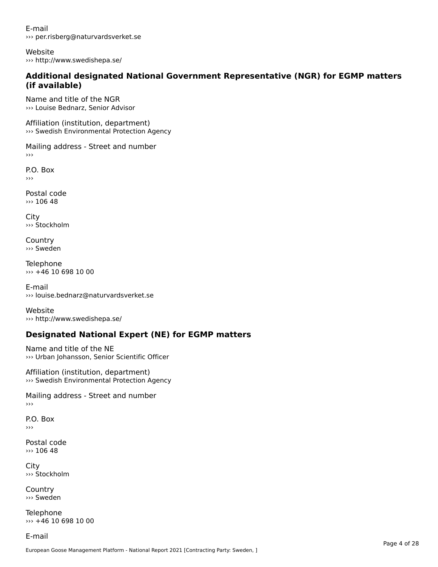E-mail››› per.risberg@naturvardsverket.se

Website››› http://www.swedishepa.se/

#### **Additional designated National Government Representative (NGR) for EGMP matters (if available)**(if available)

Name and title of the NGR››› Louise Bednarz, Senior Advisor

Affiliation (institution, department) ››› Swedish Environmental Protection Agency

Mailing address - Street and number

P.O. Box ›››

Postal code››› 106 48

City ››› Stockholm

**Country** ››› Sweden

Telephone ››› +46 10 698 10 00

E-mail ››› louise.bednarz@naturvardsverket.se

Website››› http://www.swedishepa.se/

### **Designated National Expert (NE) for EGMP matters**

Name and title of the NE ››› Urban Johansson, Senior Scientific Officer

Affiliation (institution, department) ››› Swedish Environmental Protection Agency

Mailing address - Street and number

P.O. Box›››

Postal code››› 106 48

City ››› Stockholm

Country››› Sweden

Telephone ››› +46 10 698 10 00

E-mail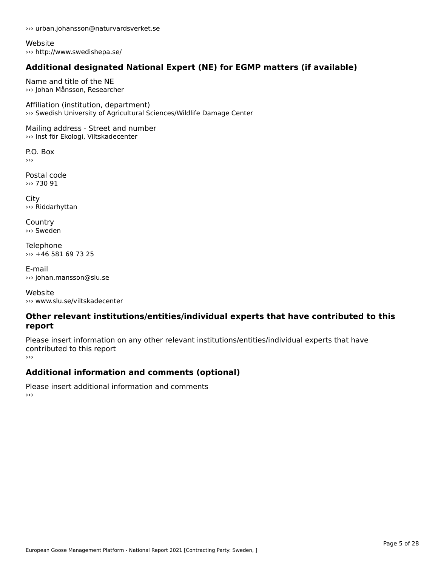››› urban.johansson@naturvardsverket.se

Website ››› http://www.swedishepa.se/

### **Additional designated National Expert (NE) for EGMP matters (if available)**

Name and title of the NE››› Johan Månsson, Researcher

Affiliation (institution, department) ››› Swedish University of Agricultural Sciences/Wildlife Damage Center

Mailing address - Street and number ››› Inst för Ekologi, Viltskadecenter

P.O. Box ›››

Postal code››› 730 91

City ››› Riddarhyttan

**Country** ››› Sweden

**Telephone** ››› +46 581 69 73 25

E-mail››› johan.mansson@slu.se

Website››› www.slu.se/viltskadecenter

#### **Other relevant institutions/entities/individual experts that have contributed to this report**report

Please insert information on any other relevant institutions/entities/individual experts that have riease insert information<br>contributed to this report ›››

### **Additional information and comments (optional)**

Please insert additional information and comments ››› $\rightarrow$   $>$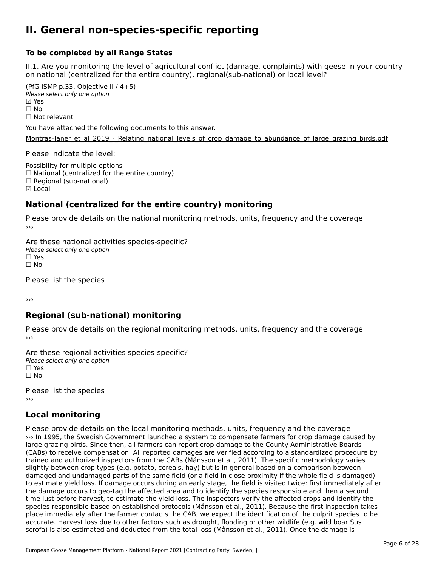#### **II. General non-species-specific reporting**

#### **To be completed by all Range States**

II.1. Are you monitoring the level of agricultural conflict (damage, complaints) with geese in your country n.i. Are you monitoring the lever or agricultural connict (damage, complaints) with g<br>on national (centralized for the entire country), regional(sub-national) or local level?

(PfG ISMP p.33, Objective II  $(4+5)$ ) Please select only one option ☑ Yes**☑ Yes**<br>□ No □ No<br>□ Not relevant

You have attached the following documents to this answer.

[Montras-Janer\\_et\\_al\\_2019\\_-\\_Relating\\_national\\_levels\\_of\\_crop\\_damage\\_to\\_abundance\\_of\\_large\\_grazing\\_birds.pdf](http://aewa-ort.ort-production.linode.unep-wcmc.org/answers/3148891/documents/2239)

Please indicate the level:

Possibility for multiple options  $\Box$  National (centralized for the entire country)<br> $\Box$  National (centralized for the entire country)  $\Box$  Regional (sub-national) ☑ Local

#### **National (centralized for the entire country) monitoring**

Please provide details on the national monitoring methods, units, frequency and the coverage

Are these national activities species-specific? Please select only one option ☐ Yes☐ No

Please list the species

›››

#### **Regional (sub-national) monitoring**

Please provide details on the regional monitoring methods, units, frequency and the coverage

Are these regional activities species-specific? Please select only one option ☐ Yes☐ No

Please list the species ›››

#### **Local monitoring**

Please provide details on the local monitoring methods, units, frequency and the coverage ››› In 1995, the Swedish Government launched a system to compensate farmers for crop damage caused by large grazing birds. Since then, all farmers can report crop damage to the County Administrative Boards large grazing birus. Since then, all ramners can report crop uamage to the County Administrative boards<br>(CABs) to receive compensation. All reported damages are verified according to a standardized procedure by trained and authorized inspectors from the CABs (Månsson et al., 2011). The specific methodology varies damed and additionzed inspectors non-die-CADs (mansson et al., 2011). The specific methodology varies<br>slightly between crop types (e.g. potato, cereals, hay) but is in general based on a comparison between to estimate yield loss. If damage occurs during an early stage, the field is visited twice: first immediately afterthe estimate yield loss. If damage occurs during an early stage, the neid is visited twite. Inst immediately alter the gainage occurs to geo-tay the affected after and to identify the species responsible and their a second time just before harvest, to estimate the yield loss. The inspectors verify the affected crops and identify the species responsible based on established protocols (Månsson et al., 2011). Because the first inspection takes place immediately after the farmer contacts the CAB, we expect the identification of the culprit species to be place immediately after the farmer contacts the CAB, we expect the identification or the culpric species and accurate. Harvest loss due to other factors such as drought, flooding or other wildlife (e.g. wild boar Sus scrofa) is also estimated and deducted from the total loss (Månsson et al., 2011). Once the damage is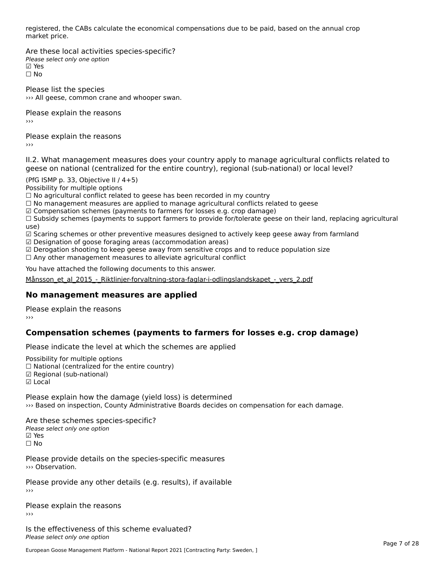registered, the CABs calculate the economical compensations due to be paid, based on the annual crop registered, tri<br>market price.

Are these local activities species-specific? Please select only one option ☑ Yes☐ No

Please list the species ››› All geese, common crane and whooper swan.

Please explain the reasons›››

Please explain the reasons ›››

II.2. What management measures does your country apply to manage agricultural conflicts related to

(PfG ISMP p. 33, Objective II / 4+5)

Possibility for multiple options

rossibility for multiple options<br>□ No agricultural conflict related to geese has been recorded in my country

 $\Box$  No management measures are applied to manage agricultural conflicts related to geese

☑ Compensation schemes (payments to farmers for losses e.g. crop damage)

© Compensation schemes (payments to farmers for losses e.g. crop damage)<br>□ Subsidy schemes (payments to support farmers to provide for/tolerate geese on their land, replacing agricultural ☑ Scaring schemes or other preventive measures designed to actively keep geese away from farmland

☑ Designation of goose foraging areas (accommodation areas)

ය Designation of goose foraging areas (accommodation areas)<br>☑ Derogation shooting to keep geese away from sensitive crops and to reduce population size

⊠ Derogation shooting to keep geese away nom sensitive crops and<br>□ Any other management measures to alleviate agricultural conflict

You have attached the following documents to this answer.

[Månsson\\_et\\_al\\_2015\\_-\\_Riktlinjer-forvaltning-stora-faglar-i-odlingslandskapet\\_-\\_vers\\_2.pdf](http://aewa-ort.ort-production.linode.unep-wcmc.org/answers/3148702/documents/2238)

#### **No management measures are applied**

Please explain the reasons ›››

### **Compensation schemes (payments to farmers for losses e.g. crop damage)**

Please indicate the level at which the schemes are applied

Possibility for multiple options rossibility for multiple options<br>□ National (centralized for the entire country) □ National (centralized io<br>☑ Regional (sub-national) ⊠ Regio<br>☑ Local

Please explain how the damage (yield loss) is determined ››› Based on inspection, County Administrative Boards decides on compensation for each damage.

Are these schemes species-specific? ∧e chese senemes spee<br>Please select only one option **☑ Yes**<br>□ No

Please provide details on the species-specific measures

Please provide any other details (e.g. results), if available

Please explain the reasons

Is the effectiveness of this scheme evaluated?Please select only one option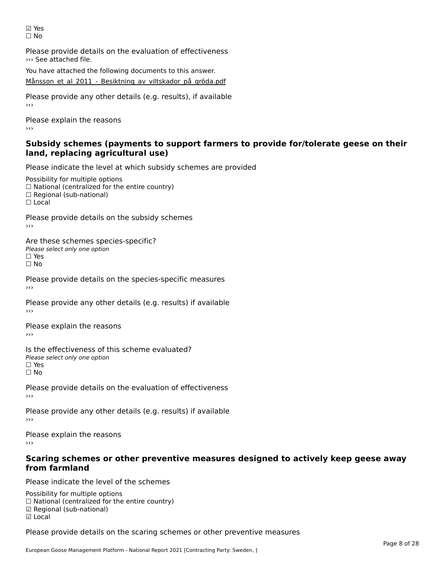☑ Yes☐ No

Please provide details on the evaluation of effectiveness ››› See attached file.

You have attached the following documents to this answer. [Månsson\\_et\\_al\\_2011\\_-\\_Besiktning\\_av\\_viltskador\\_på\\_gröda.pdf](http://aewa-ort.ort-production.linode.unep-wcmc.org/answers/3151578/documents/2236)

Please provide any other details (e.g. results), if available

Please explain the reasons ›››

#### **Subsidy schemes (payments to support farmers to provide for/tolerate geese on their land, replacing agricultural use)**land, replacing agricultural use)

Please indicate the level at which subsidy schemes are provided

Possibility for multiple options rossibility for multiple options<br>□ National (centralized for the entire country) □ Regional (sub-national) ☐ Local

Please provide details on the subsidy schemes

Are these schemes species-specific?∩ne these senemes spee<br>Please select only one option □ Yes<br>□ No

Please provide details on the species-specific measures

Please provide any other details (e.g. results) if available

Please explain the reasons ›››

Is the effectiveness of this scheme evaluated?□ CIC CILCCLIVENC55 OF C<br>Please select only one option □ Yes<br>□ No

Please provide details on the evaluation of effectiveness

Please provide any other details (e.g. results) if available

Please explain the reasons›››

# **Scaring schemes or other preventive measures designed to actively keep geese away from farmland**

Please indicate the level of the schemes

Possibility for multiple options rossibility for multiple options<br>□ National (centralized for the entire country) □ National (centralized io<br>☑ Regional (sub-national) ☑ Local

Please provide details on the scaring schemes or other preventive measures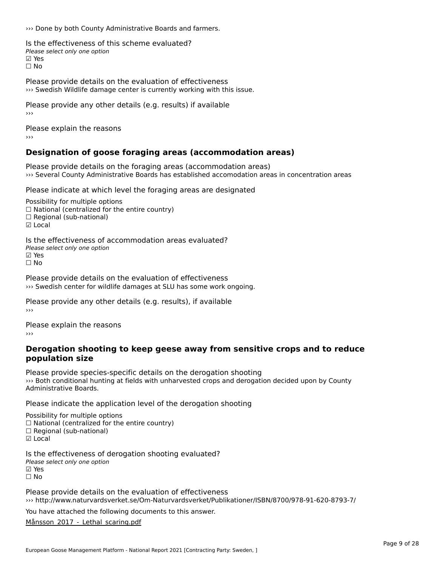››› Done by both County Administrative Boards and farmers.

Is the effectiveness of this scheme evaluated?□ the cheenveness of t<br>Please select only one option ⊠ Yes ☐ No

Please provide details on the evaluation of effectiveness ››› Swedish Wildlife damage center is currently working with this issue.

Please provide any other details (e.g. results) if available ›››

Please explain the reasons›››

#### **Designation of goose foraging areas (accommodation areas)**

Please provide details on the foraging areas (accommodation areas) ››› Several County Administrative Boards has established accomodation areas in concentration areas

Please indicate at which level the foraging areas are designated

Possibility for multiple options  $\Box$  National (centralized for the entire country)  $\Box$  Regional (sub-national) ☑ Local

Is the effectiveness of accommodation areas evaluated?□ CHECONCHESS OF Q<br>Please select only one option ⊠ Yes ☐ No

Please provide details on the evaluation of effectiveness ››› Swedish center for wildlife damages at SLU has some work ongoing.

Please provide any other details (e.g. results), if available

Please explain the reasons

#### **Derogation shooting to keep geese away from sensitive crops and to reduce population size**population size

Please provide species-specific details on the derogation shooting A case provide speeles speeling actains on the acrogation shooting<br>As Both conditional hunting at fields with unharvested crops and derogation decided upon by County

Please indicate the application level of the derogation shooting

Possibility for multiple options

rossibility for multiple options<br>□ National (centralized for the entire country)

□ Regional (sub-national)

☑ Local

Is the effectiveness of derogation shooting evaluated? Please select only one option☑ Yes☐ No

Please provide details on the evaluation of effectiveness ››› http://www.naturvardsverket.se/Om-Naturvardsverket/Publikationer/ISBN/8700/978-91-620-8793-7/

You have attached the following documents to this answer.

[Månsson\\_2017\\_-\\_Lethal\\_scaring.pdf](http://aewa-ort.ort-production.linode.unep-wcmc.org/answers/3147962/documents/2237)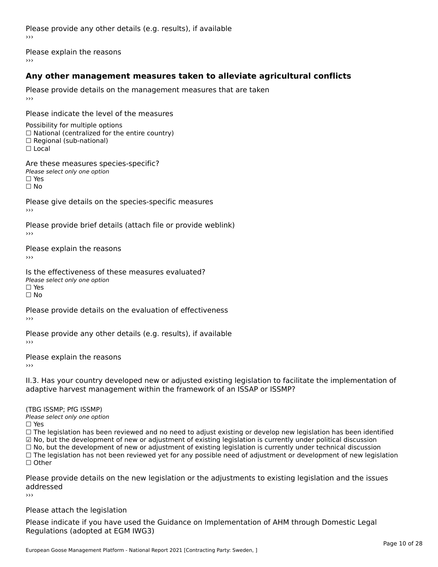Please provide any other details (e.g. results), if available

Please explain the reasons

### **Any other management measures taken to alleviate agricultural conflicts**

Please provide details on the management measures that are taken

Please indicate the level of the measures

Possibility for multiple options ☐ National (centralized for the entire country) □ Regional (sub-national)<br>□ Regional (sub-national)

 $\Box$  Local

Are these measures species-specific?**Please select only one option** □ Yes י⊐ וכ:<br>∏ No

Please give details on the species-specific measures

Please provide brief details (attach file or provide weblink)

Please explain the reasons›››

Is the effectiveness of these measures evaluated?**Please select only one option** □ Yes י⊐ וכ:<br>∏ No

Please provide details on the evaluation of effectiveness

Please provide any other details (e.g. results), if available

Please explain the reasons›››

II.3. Has your country developed new or adjusted existing legislation to facilitate the implementation of adaptive harvest management within the framework of an ISSAP or ISSMP?

(TBG ISSMP; PfG ISSMP)ר היוכבר סדר , דורוס וואס<br>Please select only one option

Yes

☐ The legislation has been reviewed and no need to adjust existing or develop new legislation has been identified ☑ $\Box$  The regislation has been reviewed and no need to adjust existing or develop new regislation has been identified.<br> $\Box$  No, but the development of new or adjustment of existing legislation is currently under political □ No, but the development of new or adjustment of existing legislation is currently under political discussion<br>□ No, but the development of new or adjustment of existing legislation is currently under technical discussion □ No, but the development of hew of adjustment of existing regislation is currently under technical discussion<br>□ The legislation has not been reviewed yet for any possible need of adjustment or development of new legislat  $\Box$  Other

Please provide details on the new legislation or the adjustments to existing legislation and the issues addressed

›››

Please attach the legislation

Please indicate if you have used the Guidance on Implementation of AHM through Domestic Legal Regulations (adopted at EGM IWG3)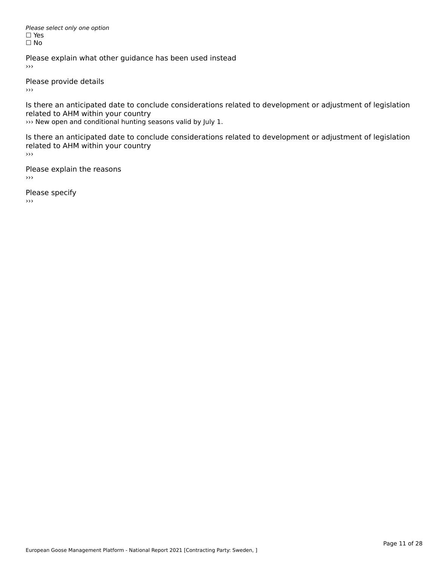Please select only one option *riease*<br>□ Yes ים וכ<br>⊡ No

Please explain what other guidance has been used instead

Please provide details

 $\rightarrow$   $>$ 

Is there an anticipated date to conclude considerations related to development or adjustment of legislation is there an anticipated date to cont<br>related to AHM within your country

››› New open and conditional hunting seasons valid by July 1.

Is there an anticipated date to conclude considerations related to development or adjustment of legislation related to AHM within your country ا ب<br><<

Please explain the reasons  $\rightarrow$ 

Please specify  $\rightarrow$   $>$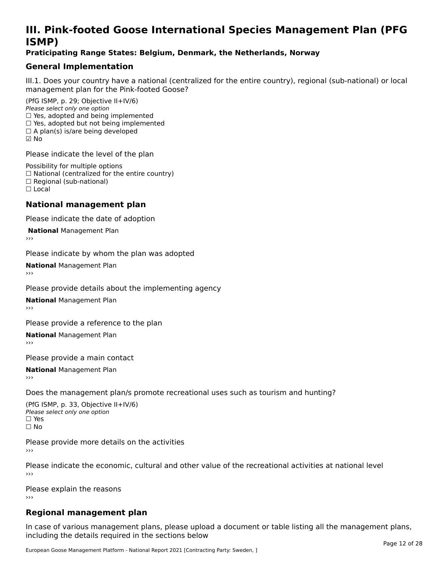### **III. Pink-footed Goose International Species Management Plan (PFG**III. FII<br>ICMAD)

#### **Praticipating Range States: Belgium, Denmark, the Netherlands, Norway**

#### **General Implementation**

III.1. Does your country have a national (centralized for the entire country), regional (sub-national) or local

(PfG ISMP, p. 29; Objective II+IV/6) Please select only one option *riease select only one option*<br>□ Yes, adopted and being implemented  $\Box$  ies, adopted and being implemented<br> $\Box$  Yes, adopted but not being implemented  $\Box$  A plan(s) is/are being developed ☑ No

Please indicate the level of the plan

Possibility for multiple options rossibility for multiple options<br>□ National (centralized for the entire country) □ National (centralized io<br>□ Regional (sub-national) ☐ Local

#### **National management plan**

Please indicate the date of adoption

**National Management Plan** 

Please indicate by whom the plan was adopted

**National** Management Plan

Please provide details about the implementing agency

**National** Management Plan

Please provide a reference to the plan

**National** Management Plan

Please provide a main contact

**National** Management Plan

Does the management plan/s promote recreational uses such as tourism and hunting?

(PfG ISMP, p. 33, Objective II+IV/6) Please select only one optionPlease select only one option  $\square$  Yes ☐ No

Please provide more details on the activities›››

Please indicate the economic, cultural and other value of the recreational activities at national level

Please explain the reasons ›››

### **Regional management plan**

In case of various management plans, please upload a document or table listing all the management plans, $\frac{1}{2}$  case of various management plans, please uploa including the details required in the sections below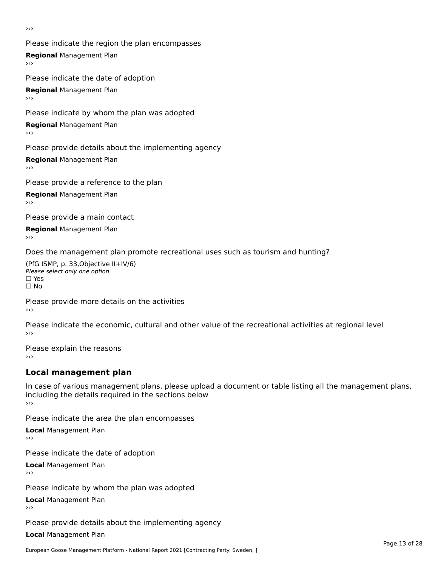›››

Please indicate the region the plan encompasses **Regional** Management Plan Please indicate the date of adoption

**Regional** Management Plan

Please indicate by whom the plan was adopted

**Regional** Management Plan

Please provide details about the implementing agency

**Regional** Management Plan

Please provide a reference to the plan

**Regional** Management Plan

Please provide a main contact

**Regional** Management Plan

Does the management plan promote recreational uses such as tourism and hunting?

(PfG ISMP, p. 33,Objective II+IV/6) ∩∩ וויוכו פון<br>Please select only one option<br>□ Yes □ Yes<br>□ No

Please provide more details on the activities ›››

Please indicate the economic, cultural and other value of the recreational activities at regional level

Please explain the reasons ›››

### **Local management plan**

In case of various management plans, please upload a document or table listing all the management plans, in case or various management plans, please uploa<br>including the details required in the sections below ›››

Please indicate the area the plan encompasses

**Local** Management Plan

Please indicate the date of adoption

**Local** Management Plan›››

Please indicate by whom the plan was adopted

**Local** Management Plan

Please provide details about the implementing agency

**Local** Management Plan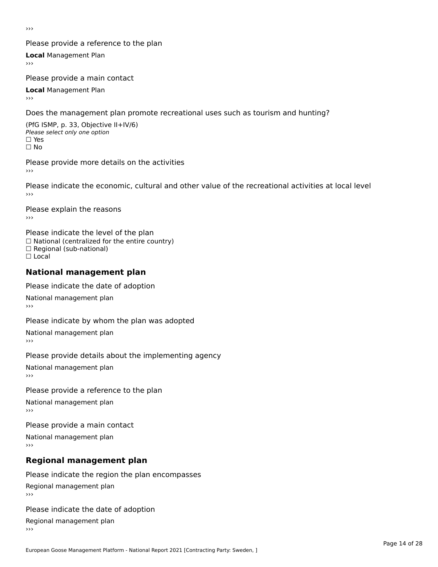›››

#### Please provide a reference to the plan

**Local** Management Plan

Please provide a main contact

**Local** Management Plan

Does the management plan promote recreational uses such as tourism and hunting?

(PfG ISMP, p. 33, Objective II+IV/6) Please select only one option☐ Yes☐ No

Please provide more details on the activities

Please indicate the economic, cultural and other value of the recreational activities at local level

Please explain the reasons ›››

Please indicate the level of the plan ∩ease marcate the lever of the plan<br>□ National (centralized for the entire country) □ National (centralized io<br>□ Regional (sub-national) ☐ Local

#### **National management plan**

Please indicate the date of adoption

National management plan

Please indicate by whom the plan was adopted

National management plan

Please provide details about the implementing agency

National management plan

Please provide a reference to the plan

National management plan

Please provide a main contact

National management plan

### **Regional management plan**

Please indicate the region the plan encompasses Regional management plan

Please indicate the date of adoption

Regional management plan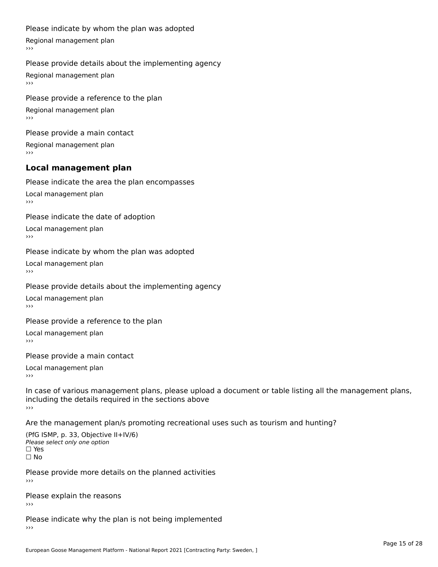#### Please indicate by whom the plan was adopted

Regional management plan

#### Please provide details about the implementing agency

Regional management plan

Please provide a reference to the plan Regional management plan

Please provide a main contact Regional management plan

### **Local management plan**

Please indicate the area the plan encompasses

Local management plan $\overline{\phantom{a}}$  $\rightarrow$   $>$ 

Please indicate the date of adoption

Local management plan $\overline{v}$ 

Please indicate by whom the plan was adopted Local management plan›››

Please provide details about the implementing agency

Local management plan $\overline{v}$ 

Please provide a reference to the plan

Local management plan›››

Please provide a main contact

Local management plan $\overline{v}$ 

In case of various management plans, please upload a document or table listing all the management plans,in case or various management plans, please upload including the details required in the sections above<br>>>>

Are the management plan/s promoting recreational uses such as tourism and hunting?

(PfG ISMP, p. 33, Objective II+IV/6) Please select only one option☐ Yes☐ No

Please provide more details on the planned activities

Please explain the reasons›››

Please indicate why the plan is not being implemented›››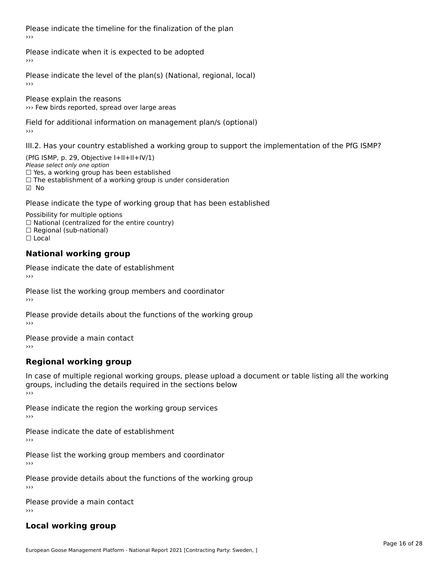Please indicate the timeline for the finalization of the plan›››

Please indicate when it is expected to be adopted

Please indicate the level of the plan(s) (National, regional, local)

Please explain the reasons ››› Few birds reported, spread over large areas

Field for additional information on management plan/s (optional)

III.2. Has your country established a working group to support the implementation of the PfG ISMP?

(PfG ISMP, p. 29, Objective  $I+II+II+IV/1$ ) Please select only one option □ Yes, a working group has been established □ Tes, a working group has been established<br>□ The establishment of a working group is under consideration

Please indicate the type of working group that has been established

Possibility for multiple options  $\Box$  National (centralized for the entire country)  $\Box$  Regional (sub-national)  $\Box$  Local

#### **National working group**

Please indicate the date of establishment›››

Please list the working group members and coordinator ›››

Please provide details about the functions of the working group ›››

Please provide a main contact ›››

### **Regional working group**

In case of multiple regional working groups, please upload a document or table listing all the working In case of multiple regional working groups, please upload a<br>groups, including the details required in the sections below ›››

Please indicate the region the working group services ›››

Please indicate the date of establishment ›››

Please list the working group members and coordinator ›››

Please provide details about the functions of the working group ›››

Please provide a main contact ›››

### **Local working group**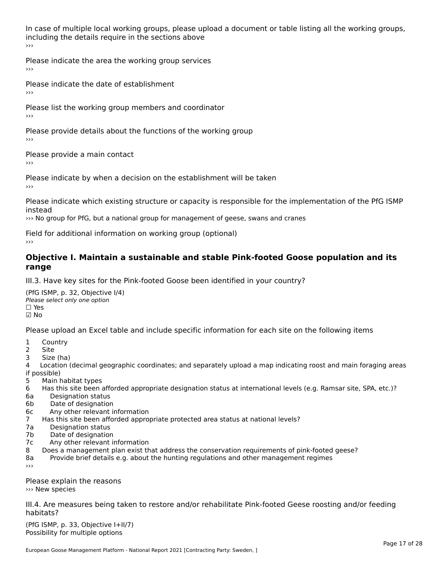In case of multiple local working groups, please upload a document or table listing all the working groups, including the details require in the sections above ›››

Please indicate the area the working group services ›››

Please indicate the date of establishment ›››

Please list the working group members and coordinator ›››

Please provide details about the functions of the working group ›››

Please provide a main contact ›››

Please indicate by when a decision on the establishment will be taken

Please indicate which existing structure or capacity is responsible for the implementation of the PfG ISMP

››› No group for PfG, but a national group for management of geese, swans and cranes

Field for additional information on working group (optional)

#### **Objective I. Maintain a sustainable and stable Pink-footed Goose population and its range**range

III.3. Have key sites for the Pink-footed Goose been identified in your country?

(PfG ISMP, p. 32, Objective I/4)Please select only one option ☐ Yes☑ No

Please upload an Excel table and include specific information for each site on the following items

- $1 \quad \alpha$
- 2 Site
- 2 Site<br>3 Size (ha)

د حدد una<br>4 Location (decimal geographic coordinates; and separately upload a map indicating roost and main foraging areas 4 Location<br>if possible)

- 5 Main habitat types
- 6 Has this site been afforded appropriate designation status at international levels (e.g. Ramsar site, SPA, etc.)? 6. Bestweetter status
- 6a Designation status<br>6b Date of designation
- 
- 6c Any other relevant information
- 7 Has this site been afforded appropriate protected area status at national levels? 7a Designation status
- 7a Designation status<br>7b Date of designation
- 
- 7c Any other relevant information
- 8 Does a management plan exist that address the conservation requirements of pink-footed geese?
- 8a Provide brief details e.g. about the hunting regulations and other management regimes ›››

Please explain the reasons ››› New species

III.4. Are measures being taken to restore and/or rehabilitate Pink-footed Geese roosting and/or feeding habitats?

 $(PCI GMP, p. 33, Qb)$  is the I+II/7) Possibility for multiple optionsPossibility for multiple options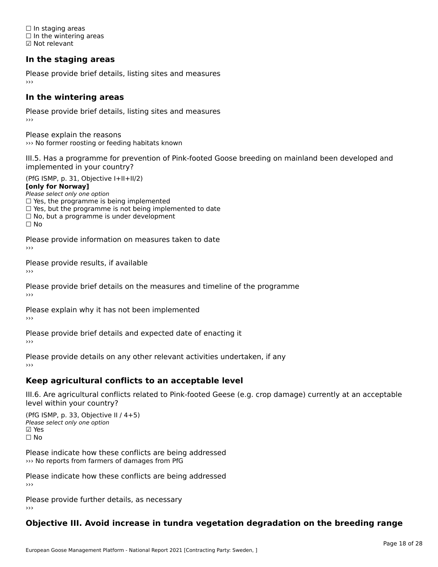☐ In staging areas □ in staging areas<br>□ In the wintering areas ☑ Not relevant

### **In the staging areas**

Please provide brief details, listing sites and measures ›››

#### **In the wintering areas**

Please provide brief details, listing sites and measures ›››

Please explain the reasons ››› No former roosting or feeding habitats known

III.5. Has a programme for prevention of Pink-footed Goose breeding on mainland been developed and implemented in your country?

(PfG ISMP, p. 31, Objective I+II+II/2)

**[only for Norway]**

Please select only one option riease select only one option<br>□ Yes, the programme is being implemented

 $\Box$  ies, the programme is being implemented to date  $\Box$  Yes, but the programme is not being implemented to date

 $\Box$  No, but a programme is under development

Please provide information on measures taken to date

Please provide results, if available

Please provide brief details on the measures and timeline of the programme›››

Please explain why it has not been implemented

Please provide brief details and expected date of enacting it

Please provide details on any other relevant activities undertaken, if any›››

#### **Keep agricultural conflicts to an acceptable level**

III.6. Are agricultural conflicts related to Pink-footed Geese (e.g. crop damage) currently at an acceptable

(PfG ISMP, p. 33, Objective II / 4+5)Please select only one option ☑ Yes☐ No

Please indicate how these conflicts are being addressed >>> No reports from farmers of damages from PfG

Please indicate how these conflicts are being addressed›››

Please provide further details, as necessary ›››

#### **Objective III. Avoid increase in tundra vegetation degradation on the breeding range**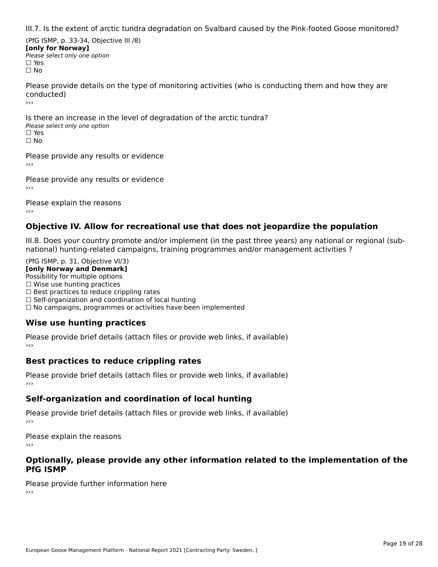III.7. Is the extent of arctic tundra degradation on Svalbard caused by the Pink-footed Goose monitored?

(PfG ISMP, p. 33-34, Objective III /8) **[only for Norway] Please select only one option** □ Yes<br>□ No

Please provide details on the type of monitoring activities (who is conducting them and how they are conducted)›››

Is there an increase in the level of degradation of the arctic tundra? □ CitCre dir increduce in c<br>Please select only one option □ Yes<br>□ No

Please provide any results or evidence

Please provide any results or evidence

Please explain the reasons›››

#### **Objective IV. Allow for recreational use that does not jeopardize the population**

III.8. Does your country promote and/or implement (in the past three years) any national or regional (sub $m.0.168$  your country promove and/or miplement (in the past time years) any national or national) hunting-related campaigns, training programmes and/or management activities ?

(PfG ISMP, p. 31, Objective VI/3) **[only Norway and Denmark]** Possibility for multiple options ☐ Wise use hunting practices  $\Box$  wise use numing practices<br> $\Box$  Best practices to reduce crippling rates □ Best practices to reduce crippinig rates<br>□ Self-organization and coordination of local hunting □ Sen-organization and coordination or local nunting<br>□ No campaigns, programmes or activities have been implemented

### **Wise use hunting practices**

Please provide brief details (attach files or provide web links, if available) ›››

#### **Best practices to reduce crippling rates**

Please provide brief details (attach files or provide web links, if available)

### **Self-organization and coordination of local hunting**

Please provide brief details (attach files or provide web links, if available)

Please explain the reasons›››

#### **Optionally, please provide any other information related to the implementation of the PfG ISMP**

Please provide further information here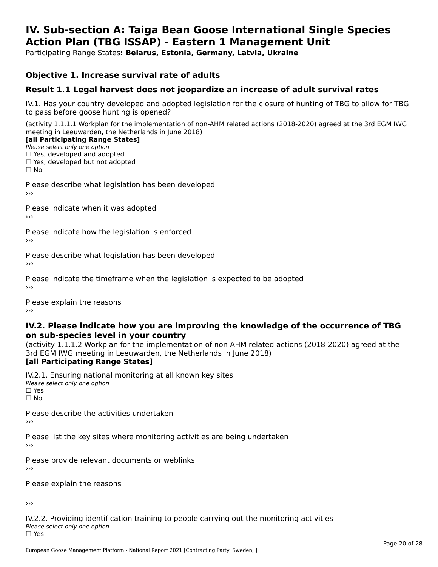#### **IV. Sub-section A: Taiga Bean Goose International Single Species Action Plan (TBG ISSAP) - Eastern 1 Management UnitAction Plan (TBG ISSAP) - Eastern 1 Management Unit**

Participating Range States**: Belarus, Estonia, Germany, Latvia, Ukraine** 

#### **Objective 1. Increase survival rate of adults**

#### **Result 1.1 Legal harvest does not jeopardize an increase of adult survival rates**

IV.1. Has your country developed and adopted legislation for the closure of hunting of TBG to allow for TBG IV.1. Thas your country developed and add<br>to pass before goose hunting is opened?

(activity 1.1.1.1 Workplan for the implementation of non-AHM related actions (2018-2020) agreed at the 3rd EGM IWG meeting in Leeuwarden, the Netherlands in June 2018)

#### [all Participating Range States]

Please select only one option ☐ Yes, developed and adopted

 ☐ Yes, developed but not adopted $\Box$  ies, developed but not adopted

Please describe what legislation has been developed

Please indicate when it was adopted

Please indicate how the legislation is enforced

Please describe what legislation has been developed

Please indicate the timeframe when the legislation is expected to be adopted

Please explain the reasons

#### **IV.2. Please indicate how you are improving the knowledge of the occurrence of TBG on sub-species level in your country**on sub-species level in your country

on sub-species fever in your country<br>(activity 1.1.1.2 Workplan for the implementation of non-AHM related actions (2018-2020) agreed at the **Brd EGM IWG meeting in Leeuwarden, the Netherlands in June 2018)** 

#### [all Participating Range States]

IV.2.1. Ensuring national monitoring at all known key sites <del>■ Western Chroning</del> Hational<br>Please select only one option □ Yes<br>□ No

Please describe the activities undertaken

Please list the key sites where monitoring activities are being undertaken

Please provide relevant documents or weblinks

Please explain the reasons

›››

IV.2.2. Providing identification training to people carrying out the monitoring activities Please select only one option<br>□ Yes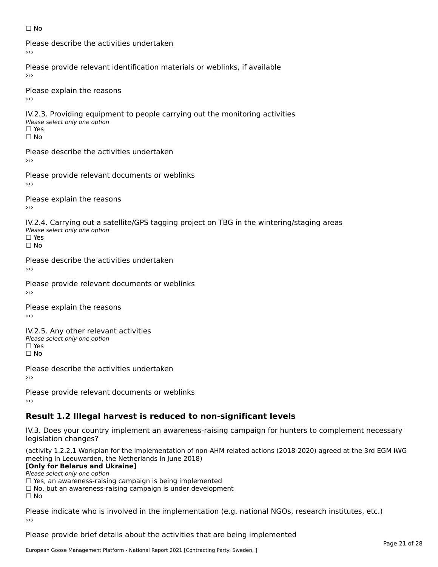#### ☐ No

Please describe the activities undertaken›››

Please provide relevant identification materials or weblinks, if available

Please explain the reasons

IV.2.3. Providing equipment to people carrying out the monitoring activities Please select only one option ☐ Yes□ Yes<br>□ No

Please describe the activities undertaken›››

Please provide relevant documents or weblinks

Please explain the reasons ›››

IV.2.4. Carrying out a satellite/GPS tagging project on TBG in the wintering/staging areas <del>∩</del><br>Please select only one option □ Yes<br>□ No

Please describe the activities undertaken›››

Please provide relevant documents or weblinks

Please explain the reasons

IV.2.5. Any other relevant activities Please select only one option ☐ Yes□ Yes<br>□ No

Please describe the activities undertaken›››

Please provide relevant documents or weblinks

### **Result 1.2 Illegal harvest is reduced to non-significant levels**

IV.3. Does your country implement an awareness-raising campaign for hunters to complement necessary rv.5. Does your court<br>legislation changes?

(activity 1.2.2.1 Workplan for the implementation of non-AHM related actions (2018-2020) agreed at the 3rd EGM IWG meeting in Leeuwarden, the Netherlands in June 2018)

#### **[Only for Belarus and Ukraine]**

Please select only one option

riease select only one option<br>□ Yes, an awareness-raising campaign is being implemented<br>□ Yes, an awareness-raising campaign is under development

□ No, but an awareness-raising campaign is under development<br>□ N。

 $\Box$  No

Please indicate who is involved in the implementation (e.g. national NGOs, research institutes, etc.)

Please provide brief details about the activities that are being implemented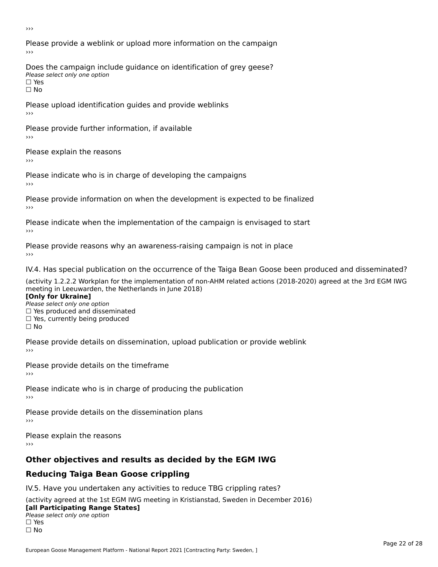›››

Please provide a weblink or upload more information on the campaign›››

Does the campaign include guidance on identification of grey geese? Please select only one option<br>□ Yes □ Yes<br>□ No

Please upload identification guides and provide weblinks ›››

Please provide further information, if available

Please explain the reasons

Please indicate who is in charge of developing the campaigns

Please provide information on when the development is expected to be finalized

Please indicate when the implementation of the campaign is envisaged to start

Please provide reasons why an awareness-raising campaign is not in place

IV.4. Has special publication on the occurrence of the Taiga Bean Goose been produced and disseminated?

(activity 1.2.2.2 Workplan for the implementation of non-AHM related actions (2018-2020) agreed at the 3rd EGM IWG **[Only for Ukraine]**

**□ Yes produced and disseminated**<br>Please select only one option  $\Box$  ies produced and disseminated  $\Box$  ies, currently being produced

Please provide details on dissemination, upload publication or provide weblink

Please provide details on the timeframe

Please indicate who is in charge of producing the publication

Please provide details on the dissemination plans

Please explain the reasons ›››

### **Other objectives and results as decided by the EGM IWG**

### **Reducing Taiga Bean Goose crippling**

IV.5. Have you undertaken any activities to reduce TBG crippling rates?

(activity agreed at the 1st EGM IWG meeting in Kristianstad, Sweden in December 2016) **[all Participating Range States]**

#### [all Participating Range States] **Law Tarticipating Range**<br>Please select only one option

□ Yes<br>□ No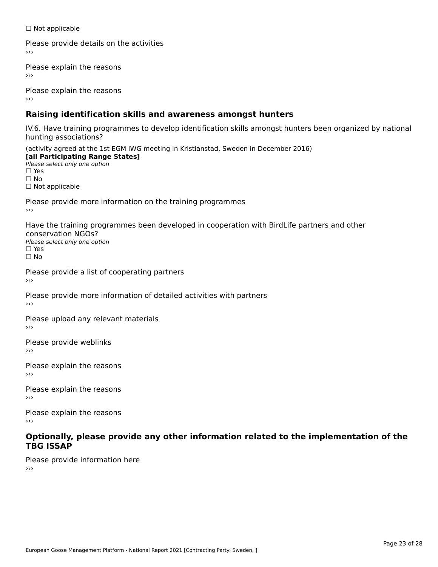☐ Not applicable

Please provide details on the activities

Please explain the reasons

Please explain the reasons

### **Raising identification skills and awareness amongst hunters**

IV.6. Have training programmes to develop identification skills amongst hunters been organized by national hunting associations?

(activity agreed at the 1st EGM IWG meeting in Kristianstad, Sweden in December 2016) **[all Participating Range States]**[all Participating Range States] **Lan Tarticipating Range**<br>Please select only one option ☐ Yes☐ No□ Not applicable

Please provide more information on the training programmes

Have the training programmes been developed in cooperation with BirdLife partners and other conservation NGOs?Please select only one option☐ Yes☐ No

Please provide a list of cooperating partners

Please provide more information of detailed activities with partners

Please upload any relevant materials

Please provide weblinks

Please explain the reasons

Please explain the reasons›››

Please explain the reasons›››

#### **Optionally, please provide any other information related to the implementation of the TBG ISSAP**

Please provide information here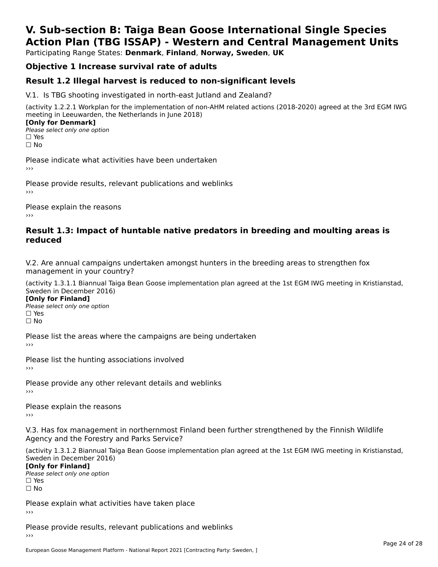## **V. Sub-section B: Taiga Bean Goose International Single SpeciesAction Plan (TBG ISSAP) - Western and Central Management Units**

Participating Range States: **Denmark**, **Finland**, **Norway, Sweden**, **UK**

### **Objective 1 Increase survival rate of adults**

#### **Result 1.2 Illegal harvest is reduced to non-significant levels**

V.1. Is TBG shooting investigated in north-east Jutland and Zealand?

(activity 1.2.2.1 Workplan for the implementation of non-AHM related actions (2018-2020) agreed at the 3rd EGM IWG meeting in Leeuwarden, the Netherlands in June 2018) **[Only for Denmark]** 

**□ Please select only one option** □ Yes<br>□ No

Please indicate what activities have been undertaken›››

Please provide results, relevant publications and weblinks ›››

Please explain the reasons›››

#### **Result 1.3: Impact of huntable native predators in breeding and moulting areas is reduced**

V.2. Are annual campaigns undertaken amongst hunters in the breeding areas to strengthen fox v.z. Are annual campaigns und<br>management in your country?

(activity 1.3.1.1 Biannual Taiga Bean Goose implementation plan agreed at the 1st EGM IWG meeting in Kristianstad, Sweden in December 2016)

**[Only for Finland]** Please select only one optionriease<br>□ Yes □ Yes<br>□ No

Please list the areas where the campaigns are being undertaken

Please list the hunting associations involved

Please provide any other relevant details and weblinks ›››

Please explain the reasons

V.3. Has fox management in northernmost Finland been further strengthened by the Finnish Wildlife v.5. Has fox management in northernmost F<br>Agency and the Forestry and Parks Service?

(activity 1.3.1.2 Biannual Taiga Bean Goose implementation plan agreed at the 1st EGM IWG meeting in Kristianstad, Sweden in December 2016) Sweden in December 2016)

[Only for Finland]

**Please select only one option** □ Yes<br>□ No

Please explain what activities have taken place

Please provide results, relevant publications and weblinks ›››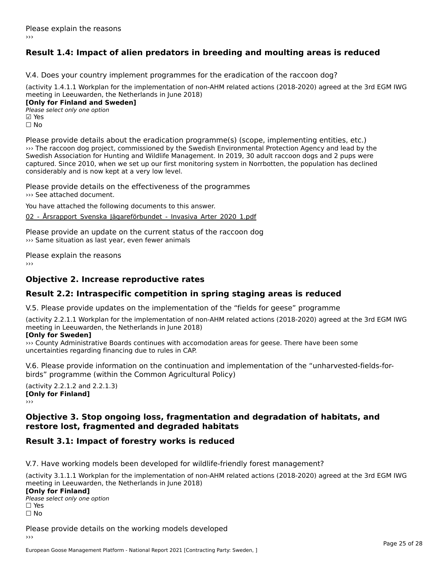### **Result 1.4: Impact of alien predators in breeding and moulting areas is reduced**

V.4. Does your country implement programmes for the eradication of the raccoon dog?

(activity 1.4.1.1 Workplan for the implementation of non-AHM related actions (2018-2020) agreed at the 3rd EGM IWG meeting in Leeuwarden, the Netherlands in June 2018) **[Only for Finland and Sweden]**

**Please select only one option** ⊠ Yes<br>□ No

Please provide details about the eradication programme(s) (scope, implementing entities, etc.) ››› The raccoon dog project, commissioned by the Swedish Environmental Protection Agency and lead by the Swedish Association for Hunting and Wildlife Management. In 2019, 30 adult raccoon dogs and 2 pups were Swedish Association for Hunting and Whalle Management. In 2019, 30 addit raccoon dogs and 2 pups were<br>captured. Since 2010, when we set up our first monitoring system in Norrbotten, the population has declined considerably and is now kept at a very low level.

Please provide details on the effectiveness of the programmes ››› See attached document.

You have attached the following documents to this answer.

02 - Årsrapport Svenska Jägareförbundet - Invasiva Arter 2020 1.pdf

Please provide an update on the current status of the raccoon dog ››› Same situation as last year, even fewer animals

Please explain the reasons

#### **Objective 2. Increase reproductive rates**

#### **Result 2.2: Intraspecific competition in spring staging areas is reduced**

V.5. Please provide updates on the implementation of the "fields for geese" programme

(activity 2.2.1.1 Workplan for the implementation of non-AHM related actions (2018-2020) agreed at the 3rd EGM IWG meeting in Leeuwarden, the Netherlands in June 2018) **[Only for Sweden]**

#### [Only for Sweden]

››› County Administrative Boards continues with accomodation areas for geese. There have been some uncertainties regarding financing due to rules in CAP.

V.6. Please provide information on the continuation and implementation of the "unharvested-fields-forbirds" programme (within the Common Agricultural Policy)birds" programme (within the Common Agricultural Policy)

(activity 2.2.1.2 and 2.2.1.3) **CONDY 2.2.1.2 and** 

#### **Objective 3. Stop ongoing loss, fragmentation and degradation of habitats, and restore lost, fragmented and degraded habitats**restore lost, fragmented and degraded habitats

### **Result 3.1: Impact of forestry works is reduced**

V.7. Have working models been developed for wildlife-friendly forest management?

(activity 3.1.1.1 Workplan for the implementation of non-AHM related actions (2018-2020) agreed at the 3rd EGM IWG meeting in Leeuwarden, the Netherlands in June 2018) **[Only for Finland]**[Only for Finland]  $P$ riease<br>□ Yes □ Yes<br>□ No

Please provide details on the working models developed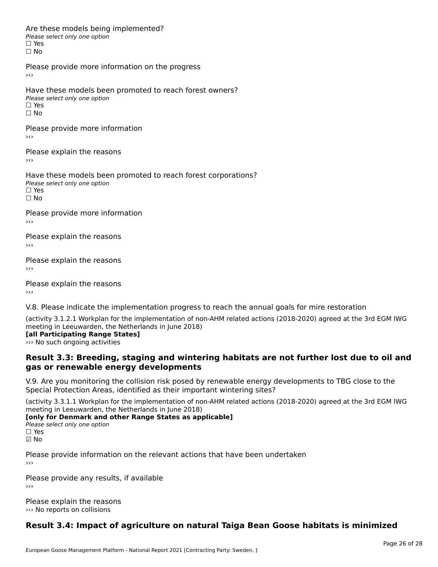Are these models being implemented? ∩ne enese moders being<br>Please select only one option □ Yes<br>□ No

Please provide more information on the progress

Have these models been promoted to reach forest owners? ∩ave these models bee<br>Please select only one option □ Yes<br>□ No

Please provide more information

Please explain the reasons ›››

Have these models been promoted to reach forest corporations? ∩ave these models bee<br>Please select only one option ים וכ∍<br>⊟ No

Please provide more information

Please explain the reasons ›››

Please explain the reasons›››

Please explain the reasons›››

V.8. Please indicate the implementation progress to reach the annual goals for mire restoration

(activity 3.1.2.1 Workplan for the implementation of non-AHM related actions (2018-2020) agreed at the 3rd EGM IWG **[all Participating Range States]**

**Lan Participating Nange St**<br>>>> No such ongoing activities

#### **Result 3.3: Breeding, staging and wintering habitats are not further lost due to oil andgas or renewable energy developments**gas or renewable energy developments

V.9. Are you monitoring the collision risk posed by renewable energy developments to TBG close to the Special Protection Areas, identified as their important wintering sites?

(activity 3.3.1.1 Workplan for the implementation of non-AHM related actions (2018-2020) agreed at the 3rd EGM IWG

**The Eurig III Leeuwarden, the Netherlands III julie 2016** 

Please select only one option<br>□ Yes ☑ No

Please provide information on the relevant actions that have been undertaken ›››

Please provide any results, if available

Please explain the reasons ››› No reports on collisions

#### **Result 3.4: Impact of agriculture on natural Taiga Bean Goose habitats is minimized**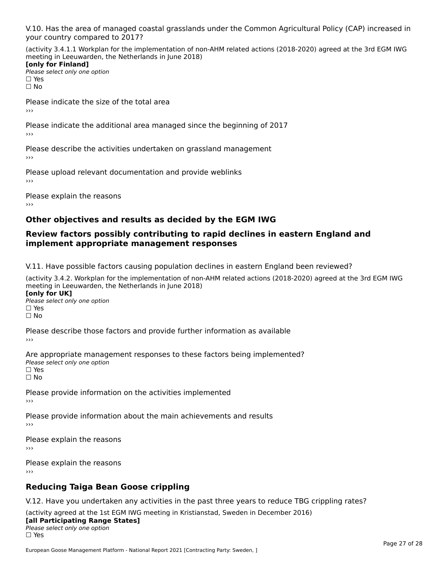V.10. Has the area of managed coastal grasslands under the Common Agricultural Policy (CAP) increased in

(activity 3.4.1.1 Workplan for the implementation of non-AHM related actions (2018-2020) agreed at the 3rd EGM IWG meeting in Leeuwarden, the Netherlands in June 2018) **[only for Finland]**

**□ Please select only one option** □ Yes<br>□ No

Please indicate the size of the total area›››

Please indicate the additional area managed since the beginning of 2017

Please describe the activities undertaken on grassland management

Please upload relevant documentation and provide weblinks

Please explain the reasons

### **Other objectives and results as decided by the EGM IWG**

#### **Review factors possibly contributing to rapid declines in eastern England and implement appropriate management responses**implement appropriate management responses

V.11. Have possible factors causing population declines in eastern England been reviewed?

(activity 3.4.2. Workplan for the implementation of non-AHM related actions (2018-2020) agreed at the 3rd EGM IWGmeeting in Leeuwarden, the Netherlands in June 2018) **[only for UK]**[only for UK]

**Please select only one option<br>Please select only one option** □ Yes<br>□ No

Please describe those factors and provide further information as available

Are appropriate management responses to these factors being implemented? ne appropriace manage.<br>Please select only one option □ Yes<br>□ No

Please provide information on the activities implemented

Please provide information about the main achievements and results

Please explain the reasons ›››

Please explain the reasons›››

### **Reducing Taiga Bean Goose crippling**

V.12. Have you undertaken any activities in the past three years to reduce TBG crippling rates?

(activity agreed at the 1st EGM IWG meeting in Kristianstad, Sweden in December 2016) **[all Participating Range States]**